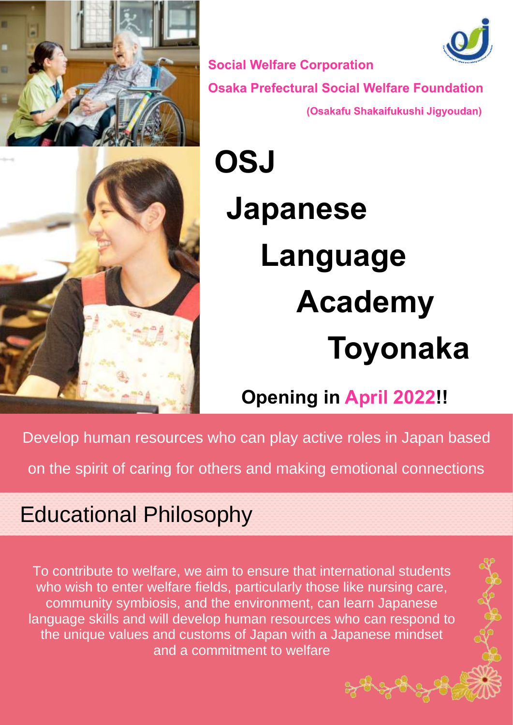



**Social Welfare Corporation Osaka Prefectural Social Welfare Foundation (Osakafu Shakaifukushi Jigyoudan)**



# **OSJ Japanese Language Academy Toyonaka**

#### **Opening in April 2022!!**

Develop human resources who can play active roles in Japan based

on the spirit of caring for others and making emotional connections

#### Educational Philosophy

To contribute to welfare, we aim to ensure that international students who wish to enter welfare fields, particularly those like nursing care, community symbiosis, and the environment, can learn Japanese language skills and will develop human resources who can respond to the unique values and customs of Japan with a Japanese mindset and a commitment to welfare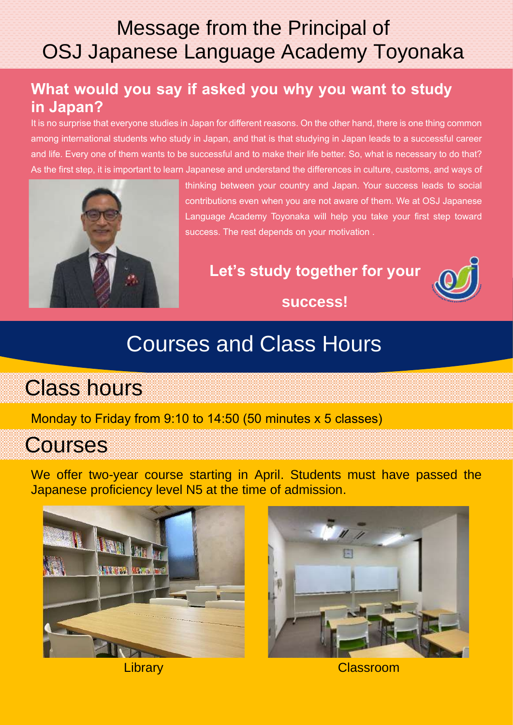#### Message from the Principal of OSJ Japanese Language Academy Toyonaka

#### **What would you say if asked you why you want to study in Japan?**

It is no surprise that everyone studies in Japan for different reasons. On the other hand, there is one thing common among international students who study in Japan, and that is that studying in Japan leads to a successful career and life. Every one of them wants to be successful and to make their life better. So, what is necessary to do that? As the first step, it is important to learn Japanese and understand the differences in culture, customs, and ways of



thinking between your country and Japan. Your success leads to social contributions even when you are not aware of them. We at OSJ Japanese Language Academy Toyonaka will help you take your first step toward success. The rest depends on your motivation .

#### **Let's study together for your**



**success!**

## Courses and Class Hours

Class hours

Monday to Friday from 9:10 to 14:50 (50 minutes x 5 classes)

#### **Courses**

We offer two-year course starting in April. Students must have passed the Japanese proficiency level N5 at the time of admission.





Library Classroom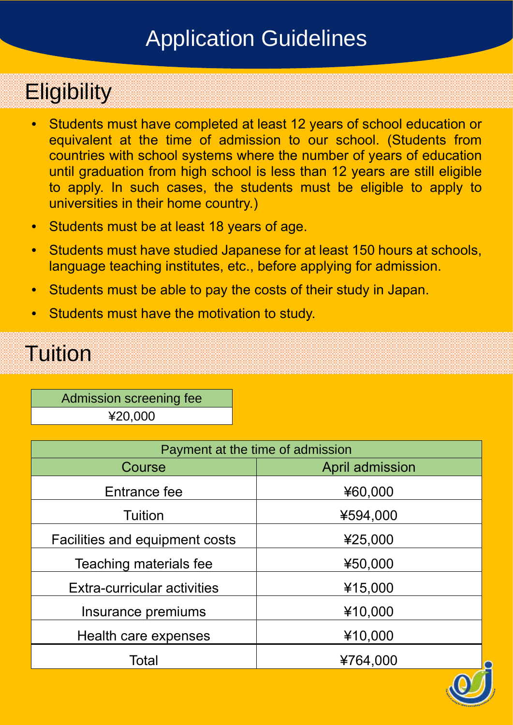# Application Guidelines

# **Eligibility**

- Students must have completed at least 12 years of school education or equivalent at the time of admission to our school. (Students from countries with school systems where the number of years of education until graduation from high school is less than 12 years are still eligible to apply. In such cases, the students must be eligible to apply to universities in their home country.)
- Students must be at least 18 years of age.
- Students must have studied Japanese for at least 150 hours at schools, language teaching institutes, etc., before applying for admission.
- Students must be able to pay the costs of their study in Japan.
- Students must have the motivation to study.

# Tuition

Admission screening fee ¥20,000

| Payment at the time of admission      |                 |  |  |
|---------------------------------------|-----------------|--|--|
| Course                                | April admission |  |  |
| Entrance fee                          | ¥60,000         |  |  |
| Tuition                               | ¥594,000        |  |  |
| <b>Facilities and equipment costs</b> | ¥25,000         |  |  |
| Teaching materials fee                | ¥50,000         |  |  |
| Extra-curricular activities           | ¥15,000         |  |  |
| Insurance premiums                    | ¥10,000         |  |  |
| Health care expenses                  | ¥10,000         |  |  |
| Total                                 | ¥764,000        |  |  |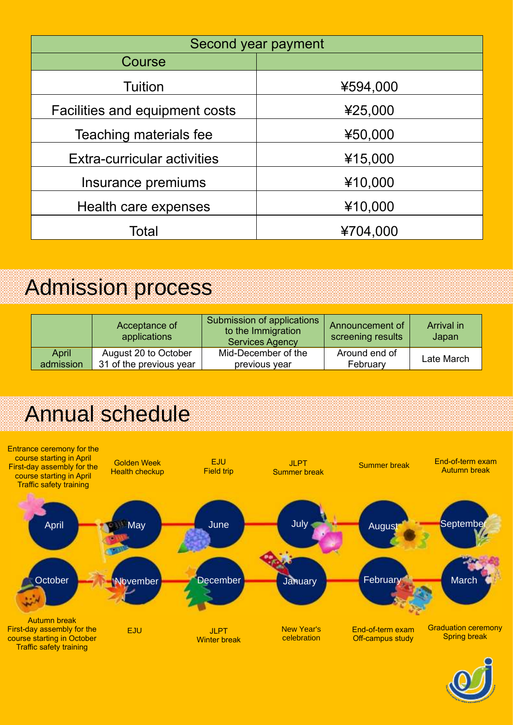| Second year payment                |          |  |  |  |
|------------------------------------|----------|--|--|--|
| Course                             |          |  |  |  |
| Tuition                            | ¥594,000 |  |  |  |
| Facilities and equipment costs     | ¥25,000  |  |  |  |
| Teaching materials fee             | ¥50,000  |  |  |  |
| <b>Extra-curricular activities</b> | ¥15,000  |  |  |  |
| Insurance premiums                 | ¥10,000  |  |  |  |
| Health care expenses               | ¥10,000  |  |  |  |
| Total                              | ¥704,000 |  |  |  |

### Admission process

|           | Acceptance of<br>applications | Submission of applications<br>to the Immigration<br><b>Services Agency</b> | Announcement of<br>screening results | Arrival in<br>Japan |
|-----------|-------------------------------|----------------------------------------------------------------------------|--------------------------------------|---------------------|
| April     | August 20 to October          | Mid-December of the                                                        | Around end of                        | Late March          |
| admission | 31 of the previous year       | previous year                                                              | February                             |                     |

# Annual schedule